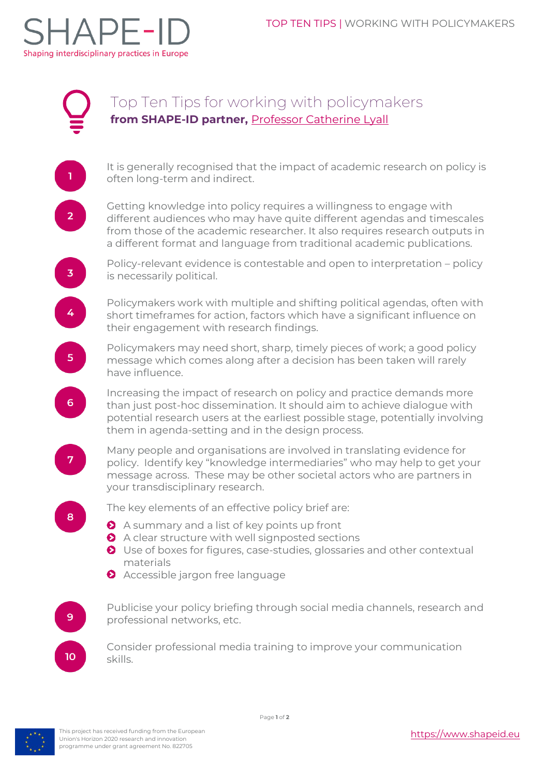